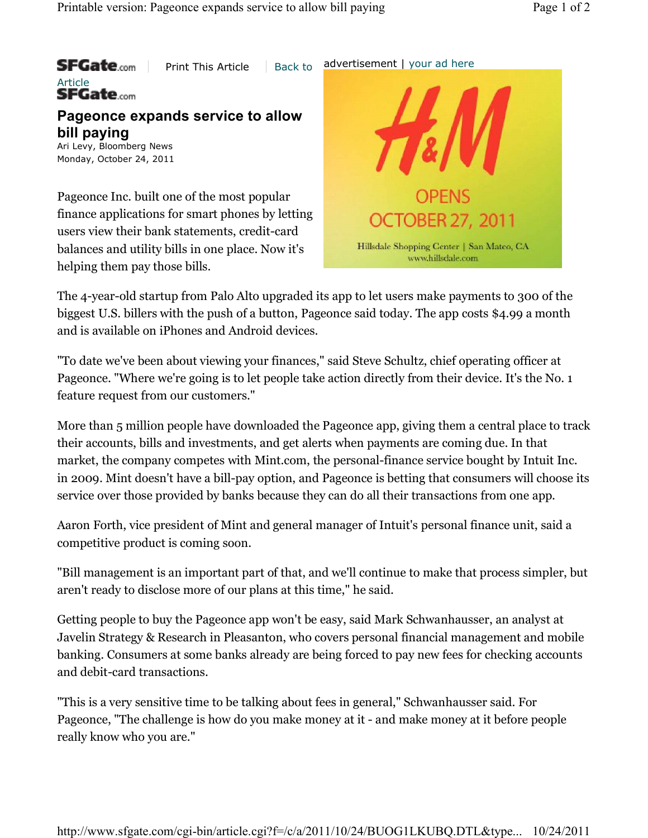**SFGate.com** Print This Article  $\parallel$  Back to advertisement | your ad here Article<br>SFGate.com **Pageonce expands service to allow bill paying** Ari Levy, Bloomberg News Monday, October 24, 2011 Pageonce Inc. built one of the most popular finance applications for smart phones by letting OCTOBER 27, 2011 users view their bank statements, credit-card Hillsdale Shopping Center | San Mateo, CA balances and utility bills in one place. Now it's www.hillsclale.com. helping them pay those bills.

The 4-year-old startup from Palo Alto upgraded its app to let users make payments to 300 of the biggest U.S. billers with the push of a button, Pageonce said today. The app costs \$4.99 a month and is available on iPhones and Android devices.

"To date we've been about viewing your finances," said Steve Schultz, chief operating officer at Pageonce. "Where we're going is to let people take action directly from their device. It's the No. 1 feature request from our customers."

More than 5 million people have downloaded the Pageonce app, giving them a central place to track their accounts, bills and investments, and get alerts when payments are coming due. In that market, the company competes with Mint.com, the personal-finance service bought by Intuit Inc. in 2009. Mint doesn't have a bill-pay option, and Pageonce is betting that consumers will choose its service over those provided by banks because they can do all their transactions from one app.

Aaron Forth, vice president of Mint and general manager of Intuit's personal finance unit, said a competitive product is coming soon.

"Bill management is an important part of that, and we'll continue to make that process simpler, but aren't ready to disclose more of our plans at this time," he said.

Getting people to buy the Pageonce app won't be easy, said Mark Schwanhausser, an analyst at Javelin Strategy & Research in Pleasanton, who covers personal financial management and mobile banking. Consumers at some banks already are being forced to pay new fees for checking accounts and debit-card transactions.

"This is a very sensitive time to be talking about fees in general," Schwanhausser said. For Pageonce, "The challenge is how do you make money at it - and make money at it before people really know who you are."